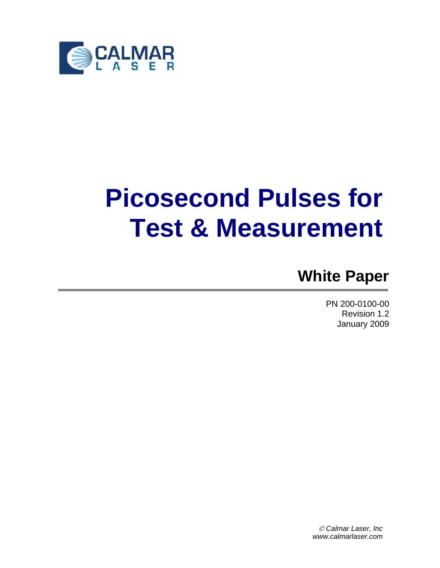

# **Picosecond Pulses for Test & Measurement**

# **White Paper**

PN 200-0100-00 Revision 1.2 January 2009

© *Calmar Laser, Inc www.calmarlaser.com*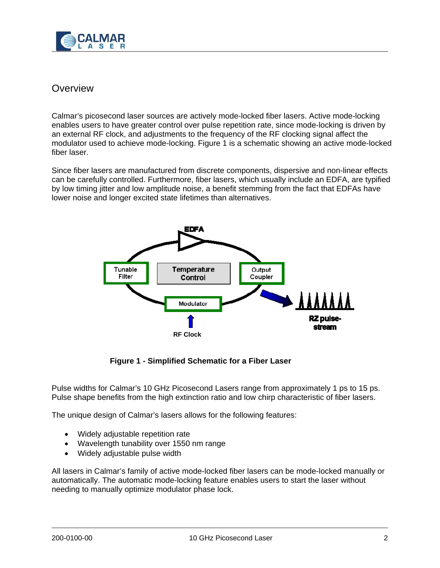

## **Overview**

Calmar's picosecond laser sources are actively mode-locked fiber lasers. Active mode-locking enables users to have greater control over pulse repetition rate, since mode-locking is driven by an external RF clock, and adjustments to the frequency of the RF clocking signal affect the modulator used to achieve mode-locking. Figure 1 is a schematic showing an active mode-locked fiber laser.

Since fiber lasers are manufactured from discrete components, dispersive and non-linear effects can be carefully controlled. Furthermore, fiber lasers, which usually include an EDFA, are typified by low timing jitter and low amplitude noise, a benefit stemming from the fact that EDFAs have lower noise and longer excited state lifetimes than alternatives.



**Figure 1 - Simplified Schematic for a Fiber Laser** 

Pulse widths for Calmar's 10 GHz Picosecond Lasers range from approximately 1 ps to 15 ps. Pulse shape benefits from the high extinction ratio and low chirp characteristic of fiber lasers.

The unique design of Calmar's lasers allows for the following features:

- Widely adjustable repetition rate
- Wavelength tunability over 1550 nm range
- Widely adjustable pulse width

All lasers in Calmar's family of active mode-locked fiber lasers can be mode-locked manually or automatically. The automatic mode-locking feature enables users to start the laser without needing to manually optimize modulator phase lock.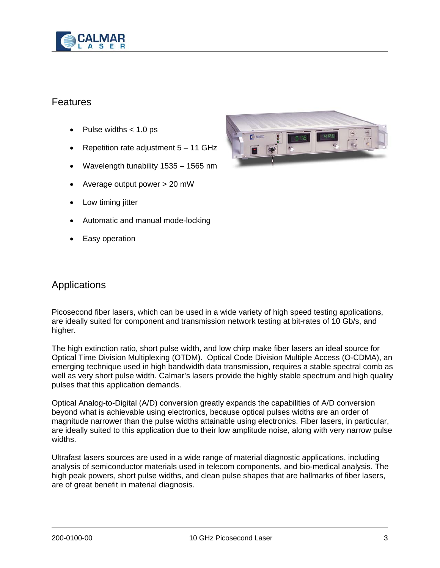

# Features

- Pulse widths  $< 1.0$  ps
- Repetition rate adjustment  $5 11$  GHz
- Wavelength tunability 1535 1565 nm
- Average output power > 20 mW
- Low timing jitter
- Automatic and manual mode-locking
- Easy operation



### Applications

Picosecond fiber lasers, which can be used in a wide variety of high speed testing applications, are ideally suited for component and transmission network testing at bit-rates of 10 Gb/s, and higher.

The high extinction ratio, short pulse width, and low chirp make fiber lasers an ideal source for Optical Time Division Multiplexing (OTDM). Optical Code Division Multiple Access (O-CDMA), an emerging technique used in high bandwidth data transmission, requires a stable spectral comb as well as very short pulse width. Calmar's lasers provide the highly stable spectrum and high quality pulses that this application demands.

Optical Analog-to-Digital (A/D) conversion greatly expands the capabilities of A/D conversion beyond what is achievable using electronics, because optical pulses widths are an order of magnitude narrower than the pulse widths attainable using electronics. Fiber lasers, in particular, are ideally suited to this application due to their low amplitude noise, along with very narrow pulse widths.

Ultrafast lasers sources are used in a wide range of material diagnostic applications, including analysis of semiconductor materials used in telecom components, and bio-medical analysis. The high peak powers, short pulse widths, and clean pulse shapes that are hallmarks of fiber lasers, are of great benefit in material diagnosis.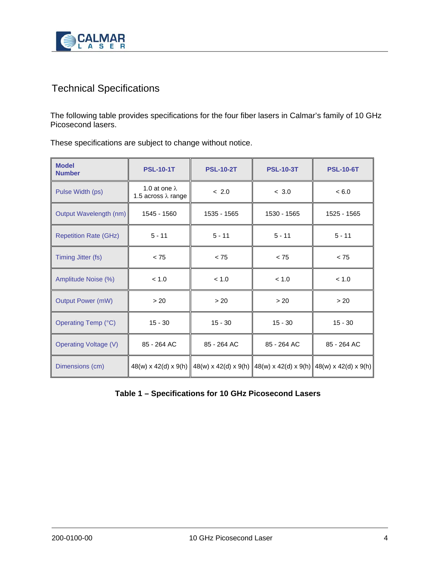

# Technical Specifications

The following table provides specifications for the four fiber lasers in Calmar's family of 10 GHz Picosecond lasers.

| <b>Model</b><br><b>Number</b> | <b>PSL-10-1T</b>                                   | <b>PSL-10-2T</b> | <b>PSL-10-3T</b>                                                     | <b>PSL-10-6T</b> |
|-------------------------------|----------------------------------------------------|------------------|----------------------------------------------------------------------|------------------|
| Pulse Width (ps)              | 1.0 at one $\lambda$<br>1.5 across $\lambda$ range | < 2.0            | < 3.0                                                                | < 6.0            |
| Output Wavelength (nm)        | 1545 - 1560                                        | 1535 - 1565      | 1530 - 1565                                                          | 1525 - 1565      |
| <b>Repetition Rate (GHz)</b>  | $5 - 11$                                           | $5 - 11$         | $5 - 11$                                                             | $5 - 11$         |
| Timing Jitter (fs)            | < 75                                               | < 75             | < 75                                                                 | < 75             |
| Amplitude Noise (%)           | < 1.0                                              | < 1.0            | < 1.0                                                                | < 1.0            |
| <b>Output Power (mW)</b>      | > 20                                               | > 20             | > 20                                                                 | > 20             |
| Operating Temp (°C)           | $15 - 30$                                          | $15 - 30$        | $15 - 30$                                                            | $15 - 30$        |
| <b>Operating Voltage (V)</b>  | 85 - 264 AC                                        | 85 - 264 AC      | 85 - 264 AC                                                          | 85 - 264 AC      |
| Dimensions (cm)               | $48(w) \times 42(d) \times 9(h)$                   |                  | $48(w)$ x 42(d) x 9(h) $48(w)$ x 42(d) x 9(h) $48(w)$ x 42(d) x 9(h) |                  |

These specifications are subject to change without notice.

#### **Table 1 – Specifications for 10 GHz Picosecond Lasers**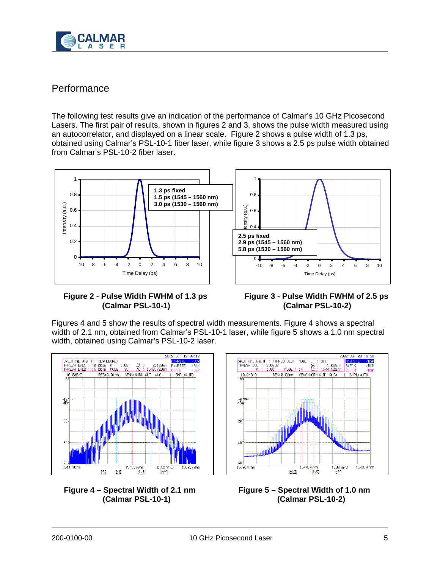

# **Performance**

The following test results give an indication of the performance of Calmar's 10 GHz Picosecond Lasers. The first pair of results, shown in figures 2 and 3, shows the pulse width measured using an autocorrelator, and displayed on a linear scale. Figure 2 shows a pulse width of 1.3 ps, obtained using Calmar's PSL-10-1 fiber laser, while figure 3 shows a 2.5 ps pulse width obtained from Calmar's PSL-10-2 fiber laser.



#### **Figure 2 - Pulse Width FWHM of 1.3 ps (Calmar PSL-10-1)**

#### **Figure 3 - Pulse Width FWHM of 2.5 ps (Calmar PSL-10-2)**

Figures 4 and 5 show the results of spectral width measurements. Figure 4 shows a spectral width of 2.1 nm, obtained from Calmar's PSL-10-1 laser, while figure 5 shows a 1.0 nm spectral width, obtained using Calmar's PSL-10-2 laser.







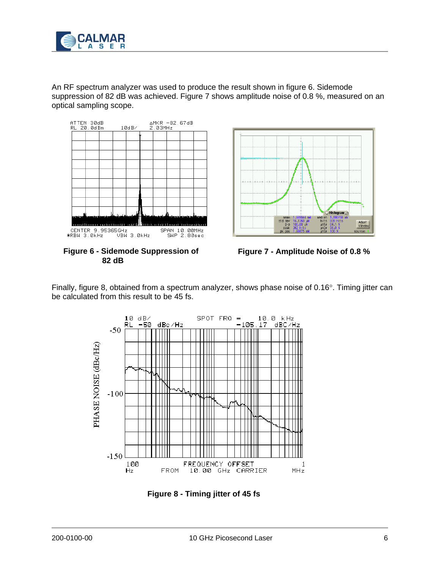

An RF spectrum analyzer was used to produce the result shown in figure 6. Sidemode suppression of 82 dB was achieved. Figure 7 shows amplitude noise of 0.8 %, measured on an optical sampling scope.



**Figure 6 - Sidemode Suppression of 82 dB**





Finally, figure 8, obtained from a spectrum analyzer, shows phase noise of 0.16°. Timing jitter can be calculated from this result to be 45 fs.



**Figure 8 - Timing jitter of 45 fs**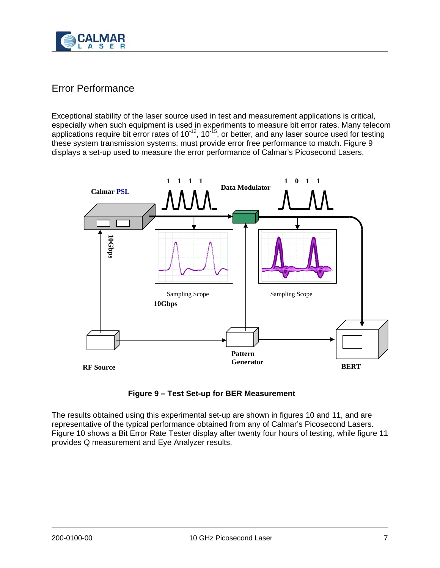

# Error Performance

Exceptional stability of the laser source used in test and measurement applications is critical, especially when such equipment is used in experiments to measure bit error rates. Many telecom applications require bit error rates of 10<sup>-12</sup>, 10<sup>-15</sup>, or better, and any laser source used for testing these system transmission systems, must provide error free performance to match. Figure 9 displays a set-up used to measure the error performance of Calmar's Picosecond Lasers.



**Figure 9 – Test Set-up for BER Measurement**

The results obtained using this experimental set-up are shown in figures 10 and 11, and are representative of the typical performance obtained from any of Calmar's Picosecond Lasers. Figure 10 shows a Bit Error Rate Tester display after twenty four hours of testing, while figure 11 provides Q measurement and Eye Analyzer results.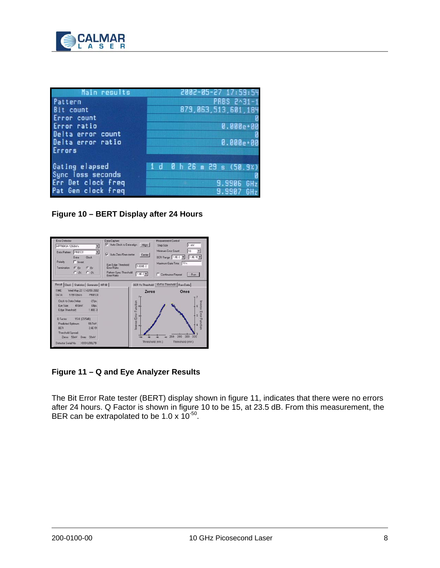

| Main results                           | 2002-05-27 17:59:5        |
|----------------------------------------|---------------------------|
| Pattern                                | PRBS 2^31-1               |
| Bit count                              | 879, 063, 513, 601, 184   |
| Error count                            |                           |
| Error ratio                            | $0.000e + 00$             |
| Delta error count<br>Delta error ratio |                           |
| Errors                                 | 0.000e+00                 |
|                                        |                           |
| Gating elapsed                         | 1 d 0 h 26 m 29 s (50.9%) |
| Sync loss seconds                      |                           |
| Err Det clock freq                     | 9.9906 GHz                |
| Pat Gen clock freq                     | 9.9907 GHz                |

**Figure 10 – BERT Display after 24 Hours** 



**Figure 11 – Q and Eye Analyzer Results** 

The Bit Error Rate tester (BERT) display shown in figure 11, indicates that there were no errors after 24 hours. Q Factor is shown in figure 10 to be 15, at 23.5 dB. From this measurement, the BER can be extrapolated to be 1.0 x  $10^{-50}$ .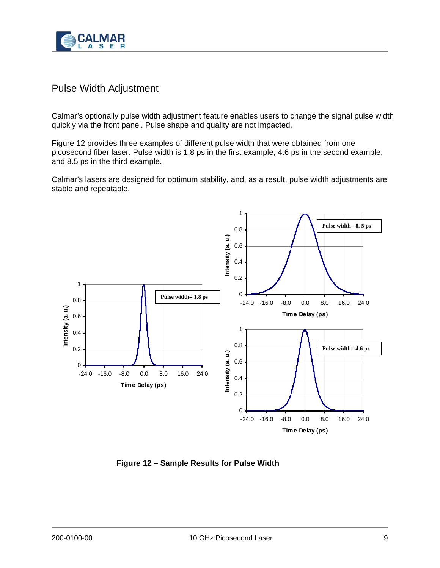

# Pulse Width Adjustment

Calmar's optionally pulse width adjustment feature enables users to change the signal pulse width quickly via the front panel. Pulse shape and quality are not impacted.

Figure 12 provides three examples of different pulse width that were obtained from one picosecond fiber laser. Pulse width is 1.8 ps in the first example, 4.6 ps in the second example, and 8.5 ps in the third example.

Calmar's lasers are designed for optimum stability, and, as a result, pulse width adjustments are stable and repeatable.



**Figure 12 – Sample Results for Pulse Width**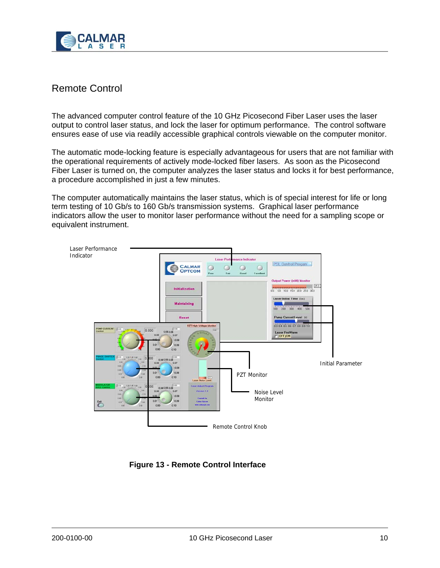

# Remote Control

The advanced computer control feature of the 10 GHz Picosecond Fiber Laser uses the laser output to control laser status, and lock the laser for optimum performance. The control software ensures ease of use via readily accessible graphical controls viewable on the computer monitor.

The automatic mode-locking feature is especially advantageous for users that are not familiar with the operational requirements of actively mode-locked fiber lasers. As soon as the Picosecond Fiber Laser is turned on, the computer analyzes the laser status and locks it for best performance, a procedure accomplished in just a few minutes.

The computer automatically maintains the laser status, which is of special interest for life or long term testing of 10 Gb/s to 160 Gb/s transmission systems. Graphical laser performance indicators allow the user to monitor laser performance without the need for a sampling scope or equivalent instrument.



**Figure 13 - Remote Control Interface**